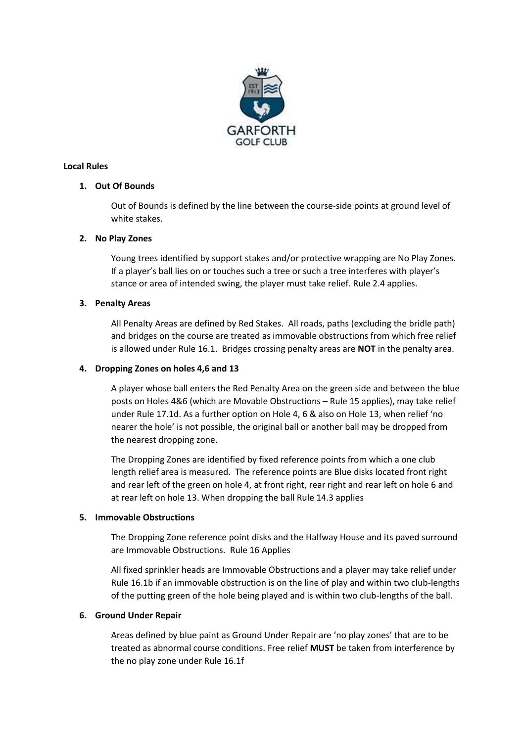

# **Local Rules**

# **1. Out Of Bounds**

Out of Bounds is defined by the line between the course-side points at ground level of white stakes.

# **2. No Play Zones**

Young trees identified by support stakes and/or protective wrapping are No Play Zones. If a player's ball lies on or touches such a tree or such a tree interferes with player's stance or area of intended swing, the player must take relief. Rule 2.4 applies.

# **3. Penalty Areas**

All Penalty Areas are defined by Red Stakes. All roads, paths (excluding the bridle path) and bridges on the course are treated as immovable obstructions from which free relief is allowed under Rule 16.1. Bridges crossing penalty areas are **NOT** in the penalty area.

# **4. Dropping Zones on holes 4,6 and 13**

A player whose ball enters the Red Penalty Area on the green side and between the blue posts on Holes 4&6 (which are Movable Obstructions – Rule 15 applies), may take relief under Rule 17.1d. As a further option on Hole 4, 6 & also on Hole 13, when relief 'no nearer the hole' is not possible, the original ball or another ball may be dropped from the nearest dropping zone.

The Dropping Zones are identified by fixed reference points from which a one club length relief area is measured. The reference points are Blue disks located front right and rear left of the green on hole 4, at front right, rear right and rear left on hole 6 and at rear left on hole 13. When dropping the ball Rule 14.3 applies

### **5. Immovable Obstructions**

The Dropping Zone reference point disks and the Halfway House and its paved surround are Immovable Obstructions. Rule 16 Applies

All fixed sprinkler heads are Immovable Obstructions and a player may take relief under Rule 16.1b if an immovable obstruction is on the line of play and within two club-lengths of the putting green of the hole being played and is within two club-lengths of the ball.

### **6. Ground Under Repair**

Areas defined by blue paint as Ground Under Repair are 'no play zones' that are to be treated as abnormal course conditions. Free relief **MUST** be taken from interference by the no play zone under Rule 16.1f